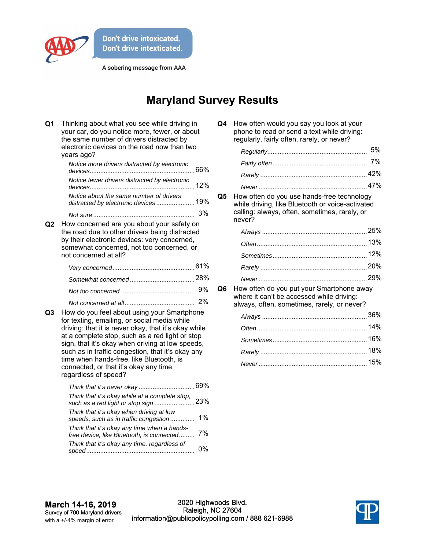

A sobering message from AAA

## **Maryland Survey Results**

| Q <sub>1</sub> | Thinking about what you see while driving in<br>your car, do you notice more, fewer, or about<br>the same number of drivers distracted by<br>electronic devices on the road now than two<br>years ago?                                                                                                                                                                |                                                            |  |
|----------------|-----------------------------------------------------------------------------------------------------------------------------------------------------------------------------------------------------------------------------------------------------------------------------------------------------------------------------------------------------------------------|------------------------------------------------------------|--|
|                | Notice more drivers distracted by electronic                                                                                                                                                                                                                                                                                                                          |                                                            |  |
|                | Notice fewer drivers distracted by electronic                                                                                                                                                                                                                                                                                                                         |                                                            |  |
|                | Notice about the same number of drivers<br>distracted by electronic devices 19%                                                                                                                                                                                                                                                                                       |                                                            |  |
|                |                                                                                                                                                                                                                                                                                                                                                                       | 3%                                                         |  |
| Q2             | How concerned are you about your safety on<br>the road due to other drivers being distracted<br>by their electronic devices: very concerned,<br>somewhat concerned, not too concerned, or<br>not concerned at all?                                                                                                                                                    |                                                            |  |
|                |                                                                                                                                                                                                                                                                                                                                                                       |                                                            |  |
|                |                                                                                                                                                                                                                                                                                                                                                                       |                                                            |  |
|                |                                                                                                                                                                                                                                                                                                                                                                       | 9%                                                         |  |
| Q3             | How do you feel about using your Smartphone<br>for texting, emailing, or social media while<br>at a complete stop, such as a red light or stop<br>sign, that it's okay when driving at low speeds,<br>such as in traffic congestion, that it's okay any<br>time when hands-free, like Bluetooth, is<br>connected, or that it's okay any time,<br>regardless of speed? | 2%<br>driving: that it is never okay, that it's okay while |  |
|                | Think that it's okay while at a complete stop,                                                                                                                                                                                                                                                                                                                        |                                                            |  |
|                |                                                                                                                                                                                                                                                                                                                                                                       |                                                            |  |
|                | Think that it's okay when driving at low<br>speeds, such as in traffic congestion                                                                                                                                                                                                                                                                                     | 1%                                                         |  |
|                | Think that it's okay any time when a hands-<br>free device, like Bluetooth, is connected                                                                                                                                                                                                                                                                              | 7%                                                         |  |
|                | Think that it's okay any time, regardless of                                                                                                                                                                                                                                                                                                                          | 0%                                                         |  |

| Q4 | How often would you say you look at your    |
|----|---------------------------------------------|
|    | phone to read or send a text while driving: |
|    | regularly, fairly often, rarely, or never?  |

**Q5** How often do you use hands-free technology while driving, like Bluetooth or voice-activated calling: always, often, sometimes, rarely, or never?

**Q6** How often do you put your Smartphone away where it can't be accessed while driving: always, often, sometimes, rarely, or never?